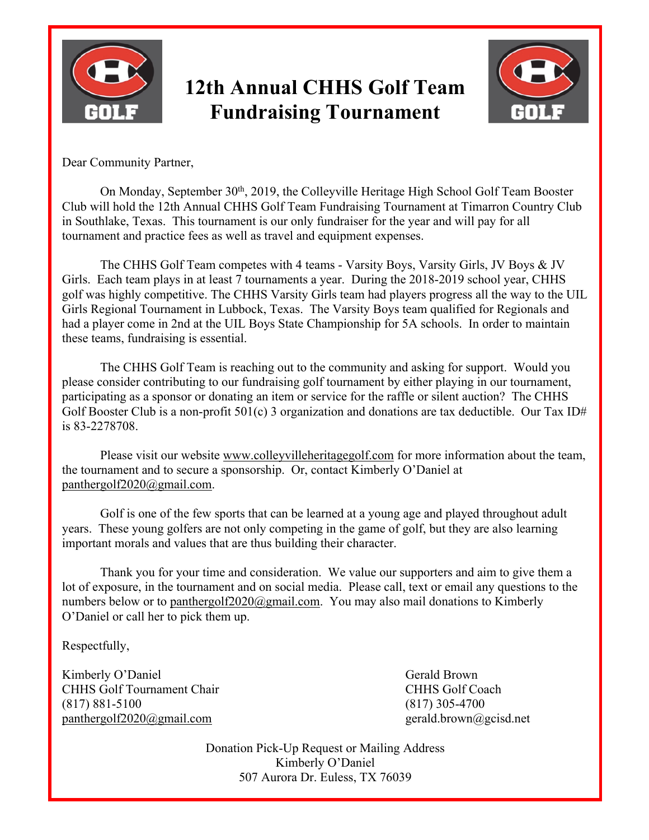

## **12th Annual CHHS Golf Team Fundraising Tournament**



Dear Community Partner,

On Monday, September 30th, 2019, the Colleyville Heritage High School Golf Team Booster Club will hold the 12th Annual CHHS Golf Team Fundraising Tournament at Timarron Country Club in Southlake, Texas. This tournament is our only fundraiser for the year and will pay for all tournament and practice fees as well as travel and equipment expenses.

The CHHS Golf Team competes with 4 teams - Varsity Boys, Varsity Girls, JV Boys & JV Girls. Each team plays in at least 7 tournaments a year. During the 2018-2019 school year, CHHS golf was highly competitive. The CHHS Varsity Girls team had players progress all the way to the UIL Girls Regional Tournament in Lubbock, Texas. The Varsity Boys team qualified for Regionals and had a player come in 2nd at the UIL Boys State Championship for 5A schools. In order to maintain these teams, fundraising is essential.

The CHHS Golf Team is reaching out to the community and asking for support. Would you please consider contributing to our fundraising golf tournament by either playing in our tournament, participating as a sponsor or donating an item or service for the raffle or silent auction? The CHHS Golf Booster Club is a non-profit 501(c) 3 organization and donations are tax deductible. Our Tax ID# is 83-2278708.

Please visit our website www.colleyvilleheritagegolf.com for more information about the team, the tournament and to secure a sponsorship. Or, contact Kimberly O'Daniel at panthergolf2020@gmail.com.

Golf is one of the few sports that can be learned at a young age and played throughout adult years. These young golfers are not only competing in the game of golf, but they are also learning important morals and values that are thus building their character.

Thank you for your time and consideration. We value our supporters and aim to give them a lot of exposure, in the tournament and on social media. Please call, text or email any questions to the numbers below or to panthergolf $2020@g$ mail.com. You may also mail donations to Kimberly O'Daniel or call her to pick them up.

Respectfully,

Kimberly O'Daniel Gerald Brown CHHS Golf Tournament Chair CHHS Golf Coach (817) 881-5100 (817) 305-4700 panthergolf2020@gmail.com gerald.brown@gcisd.net

Donation Pick-Up Request or Mailing Address Kimberly O'Daniel 507 Aurora Dr. Euless, TX 76039